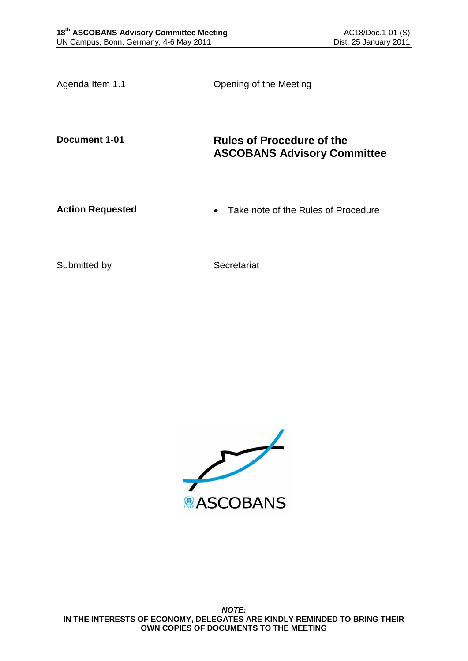Agenda Item 1.1 Copening of the Meeting

# **Document 1-01 Rules of Procedure of the ASCOBANS Advisory Committee**

Action Requested **Action Requested Action Requested Action Requested** 

Submitted by Secretariat

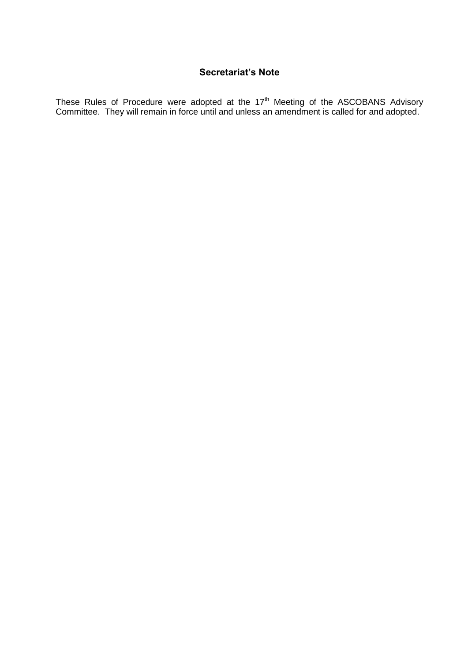# **Secretariat's Note**

These Rules of Procedure were adopted at the  $17<sup>th</sup>$  Meeting of the ASCOBANS Advisory Committee. They will remain in force until and unless an amendment is called for and adopted.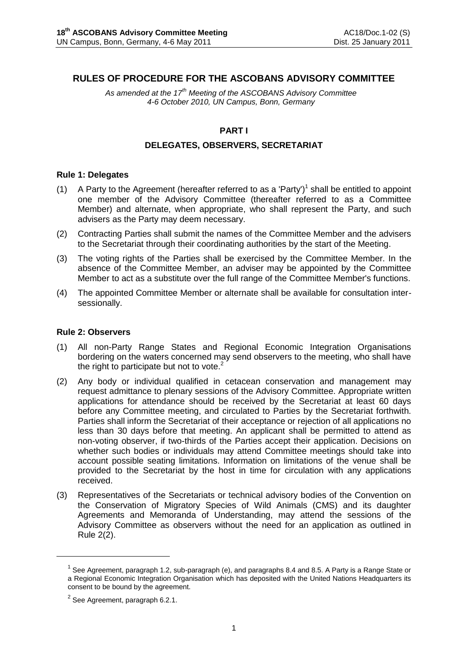# **RULES OF PROCEDURE FOR THE ASCOBANS ADVISORY COMMITTEE**

*As amended at the 17th Meeting of the ASCOBANS Advisory Committee 4-6 October 2010, UN Campus, Bonn, Germany*

### **PART I**

### **DELEGATES, OBSERVERS, SECRETARIAT**

#### **Rule 1: Delegates**

- (1) A Party to the Agreement (hereafter referred to as a 'Party')<sup>1</sup> shall be entitled to appoint one member of the Advisory Committee (thereafter referred to as a Committee Member) and alternate, when appropriate, who shall represent the Party, and such advisers as the Party may deem necessary.
- (2) Contracting Parties shall submit the names of the Committee Member and the advisers to the Secretariat through their coordinating authorities by the start of the Meeting.
- (3) The voting rights of the Parties shall be exercised by the Committee Member. In the absence of the Committee Member, an adviser may be appointed by the Committee Member to act as a substitute over the full range of the Committee Member's functions.
- (4) The appointed Committee Member or alternate shall be available for consultation intersessionally.

#### **Rule 2: Observers**

- (1) All non-Party Range States and Regional Economic Integration Organisations bordering on the waters concerned may send observers to the meeting, who shall have the right to participate but not to vote.<sup>2</sup>
- (2) Any body or individual qualified in cetacean conservation and management may request admittance to plenary sessions of the Advisory Committee. Appropriate written applications for attendance should be received by the Secretariat at least 60 days before any Committee meeting, and circulated to Parties by the Secretariat forthwith. Parties shall inform the Secretariat of their acceptance or rejection of all applications no less than 30 days before that meeting. An applicant shall be permitted to attend as non-voting observer, if two-thirds of the Parties accept their application. Decisions on whether such bodies or individuals may attend Committee meetings should take into account possible seating limitations. Information on limitations of the venue shall be provided to the Secretariat by the host in time for circulation with any applications received.
- (3) Representatives of the Secretariats or technical advisory bodies of the Convention on the Conservation of Migratory Species of Wild Animals (CMS) and its daughter Agreements and Memoranda of Understanding, may attend the sessions of the Advisory Committee as observers without the need for an application as outlined in Rule 2(2).

<u>.</u>

<sup>&</sup>lt;sup>1</sup> See Agreement, paragraph 1.2, sub-paragraph (e), and paragraphs 8.4 and 8.5. A Party is a Range State or a Regional Economic Integration Organisation which has deposited with the United Nations Headquarters its consent to be bound by the agreement.

 $^{2}$  See Agreement, paragraph 6.2.1.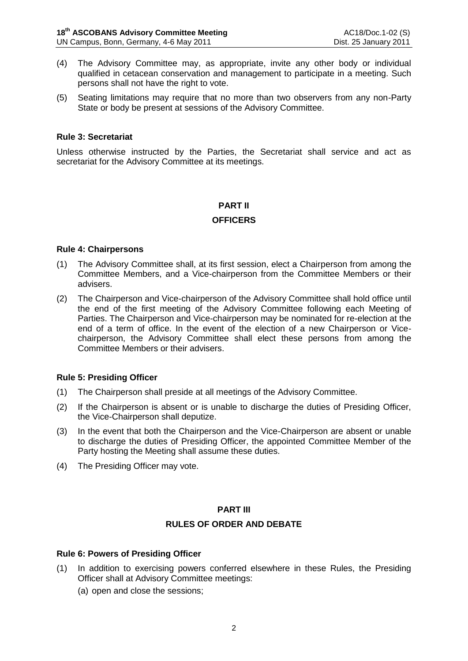- (4) The Advisory Committee may, as appropriate, invite any other body or individual qualified in cetacean conservation and management to participate in a meeting. Such persons shall not have the right to vote.
- (5) Seating limitations may require that no more than two observers from any non-Party State or body be present at sessions of the Advisory Committee.

## **Rule 3: Secretariat**

Unless otherwise instructed by the Parties, the Secretariat shall service and act as secretariat for the Advisory Committee at its meetings.

### **PART II**

### **OFFICERS**

#### **Rule 4: Chairpersons**

- (1) The Advisory Committee shall, at its first session, elect a Chairperson from among the Committee Members, and a Vice-chairperson from the Committee Members or their advisers.
- (2) The Chairperson and Vice-chairperson of the Advisory Committee shall hold office until the end of the first meeting of the Advisory Committee following each Meeting of Parties. The Chairperson and Vice-chairperson may be nominated for re-election at the end of a term of office. In the event of the election of a new Chairperson or Vicechairperson, the Advisory Committee shall elect these persons from among the Committee Members or their advisers.

#### **Rule 5: Presiding Officer**

- (1) The Chairperson shall preside at all meetings of the Advisory Committee.
- (2) If the Chairperson is absent or is unable to discharge the duties of Presiding Officer, the Vice-Chairperson shall deputize.
- (3) In the event that both the Chairperson and the Vice-Chairperson are absent or unable to discharge the duties of Presiding Officer, the appointed Committee Member of the Party hosting the Meeting shall assume these duties.
- (4) The Presiding Officer may vote.

## **PART III**

#### **RULES OF ORDER AND DEBATE**

## **Rule 6: Powers of Presiding Officer**

- (1) In addition to exercising powers conferred elsewhere in these Rules, the Presiding Officer shall at Advisory Committee meetings:
	- (a) open and close the sessions;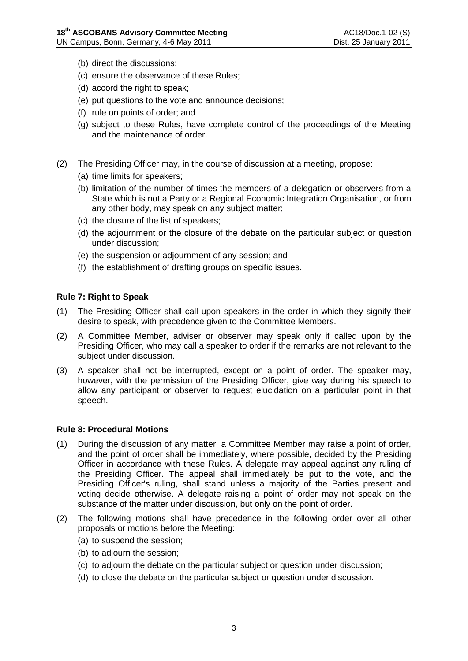- (b) direct the discussions;
- (c) ensure the observance of these Rules;
- (d) accord the right to speak;
- (e) put questions to the vote and announce decisions;
- (f) rule on points of order; and
- (g) subject to these Rules, have complete control of the proceedings of the Meeting and the maintenance of order.
- (2) The Presiding Officer may, in the course of discussion at a meeting, propose:
	- (a) time limits for speakers;
	- (b) limitation of the number of times the members of a delegation or observers from a State which is not a Party or a Regional Economic Integration Organisation, or from any other body, may speak on any subject matter;
	- (c) the closure of the list of speakers;
	- (d) the adjournment or the closure of the debate on the particular subject or question under discussion;
	- (e) the suspension or adjournment of any session; and
	- (f) the establishment of drafting groups on specific issues.

## **Rule 7: Right to Speak**

- (1) The Presiding Officer shall call upon speakers in the order in which they signify their desire to speak, with precedence given to the Committee Members.
- (2) A Committee Member, adviser or observer may speak only if called upon by the Presiding Officer, who may call a speaker to order if the remarks are not relevant to the subject under discussion.
- (3) A speaker shall not be interrupted, except on a point of order. The speaker may, however, with the permission of the Presiding Officer, give way during his speech to allow any participant or observer to request elucidation on a particular point in that speech.

#### **Rule 8: Procedural Motions**

- (1) During the discussion of any matter, a Committee Member may raise a point of order, and the point of order shall be immediately, where possible, decided by the Presiding Officer in accordance with these Rules. A delegate may appeal against any ruling of the Presiding Officer. The appeal shall immediately be put to the vote, and the Presiding Officer's ruling, shall stand unless a majority of the Parties present and voting decide otherwise. A delegate raising a point of order may not speak on the substance of the matter under discussion, but only on the point of order.
- (2) The following motions shall have precedence in the following order over all other proposals or motions before the Meeting:
	- (a) to suspend the session;
	- (b) to adjourn the session;
	- (c) to adjourn the debate on the particular subject or question under discussion;
	- (d) to close the debate on the particular subject or question under discussion.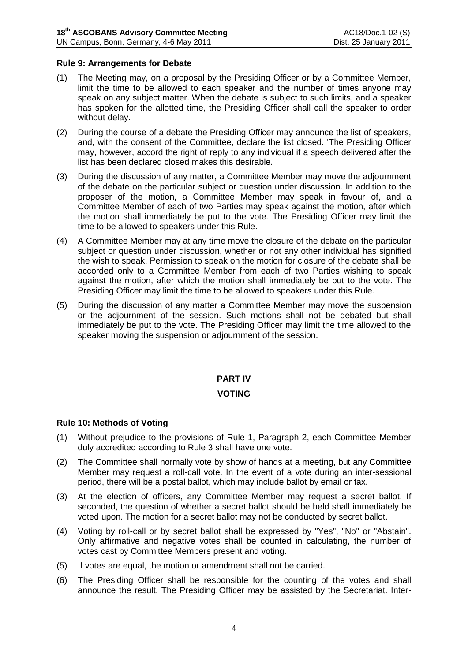### **Rule 9: Arrangements for Debate**

- (1) The Meeting may, on a proposal by the Presiding Officer or by a Committee Member, limit the time to be allowed to each speaker and the number of times anyone may speak on any subject matter. When the debate is subject to such limits, and a speaker has spoken for the allotted time, the Presiding Officer shall call the speaker to order without delay.
- (2) During the course of a debate the Presiding Officer may announce the list of speakers, and, with the consent of the Committee, declare the list closed. 'The Presiding Officer may, however, accord the right of reply to any individual if a speech delivered after the list has been declared closed makes this desirable.
- (3) During the discussion of any matter, a Committee Member may move the adjournment of the debate on the particular subject or question under discussion. In addition to the proposer of the motion, a Committee Member may speak in favour of, and a Committee Member of each of two Parties may speak against the motion, after which the motion shall immediately be put to the vote. The Presiding Officer may limit the time to be allowed to speakers under this Rule.
- (4) A Committee Member may at any time move the closure of the debate on the particular subject or question under discussion, whether or not any other individual has signified the wish to speak. Permission to speak on the motion for closure of the debate shall be accorded only to a Committee Member from each of two Parties wishing to speak against the motion, after which the motion shall immediately be put to the vote. The Presiding Officer may limit the time to be allowed to speakers under this Rule.
- (5) During the discussion of any matter a Committee Member may move the suspension or the adjournment of the session. Such motions shall not be debated but shall immediately be put to the vote. The Presiding Officer may limit the time allowed to the speaker moving the suspension or adjournment of the session.

# **PART IV**

## **VOTING**

#### **Rule 10: Methods of Voting**

- (1) Without prejudice to the provisions of Rule 1, Paragraph 2, each Committee Member duly accredited according to Rule 3 shall have one vote.
- (2) The Committee shall normally vote by show of hands at a meeting, but any Committee Member may request a roll-call vote. In the event of a vote during an inter-sessional period, there will be a postal ballot, which may include ballot by email or fax.
- (3) At the election of officers, any Committee Member may request a secret ballot. If seconded, the question of whether a secret ballot should be held shall immediately be voted upon. The motion for a secret ballot may not be conducted by secret ballot.
- (4) Voting by roll-call or by secret ballot shall be expressed by "Yes", "No" or "Abstain". Only affirmative and negative votes shall be counted in calculating, the number of votes cast by Committee Members present and voting.
- (5) If votes are equal, the motion or amendment shall not be carried.
- (6) The Presiding Officer shall be responsible for the counting of the votes and shall announce the result. The Presiding Officer may be assisted by the Secretariat. Inter-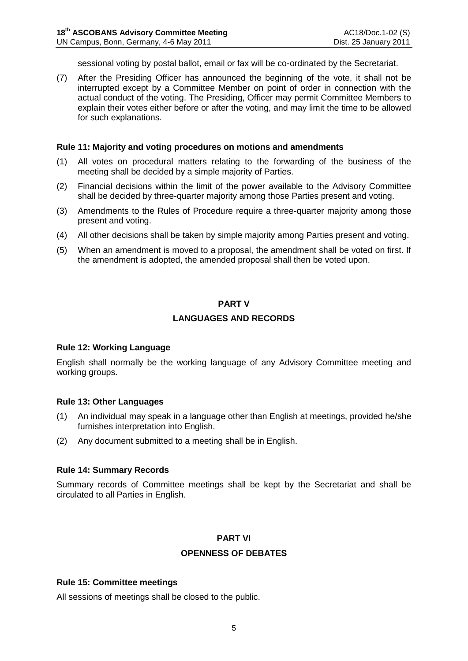sessional voting by postal ballot, email or fax will be co-ordinated by the Secretariat.

(7) After the Presiding Officer has announced the beginning of the vote, it shall not be interrupted except by a Committee Member on point of order in connection with the actual conduct of the voting. The Presiding, Officer may permit Committee Members to explain their votes either before or after the voting, and may limit the time to be allowed for such explanations.

#### **Rule 11: Majority and voting procedures on motions and amendments**

- (1) All votes on procedural matters relating to the forwarding of the business of the meeting shall be decided by a simple majority of Parties.
- (2) Financial decisions within the limit of the power available to the Advisory Committee shall be decided by three-quarter majority among those Parties present and voting.
- (3) Amendments to the Rules of Procedure require a three-quarter majority among those present and voting.
- (4) All other decisions shall be taken by simple majority among Parties present and voting.
- (5) When an amendment is moved to a proposal, the amendment shall be voted on first. If the amendment is adopted, the amended proposal shall then be voted upon.

### **PART V**

# **LANGUAGES AND RECORDS**

#### **Rule 12: Working Language**

English shall normally be the working language of any Advisory Committee meeting and working groups.

#### **Rule 13: Other Languages**

- (1) An individual may speak in a language other than English at meetings, provided he/she furnishes interpretation into English.
- (2) Any document submitted to a meeting shall be in English.

# **Rule 14: Summary Records**

Summary records of Committee meetings shall be kept by the Secretariat and shall be circulated to all Parties in English.

# **PART VI**

# **OPENNESS OF DEBATES**

# **Rule 15: Committee meetings**

All sessions of meetings shall be closed to the public.